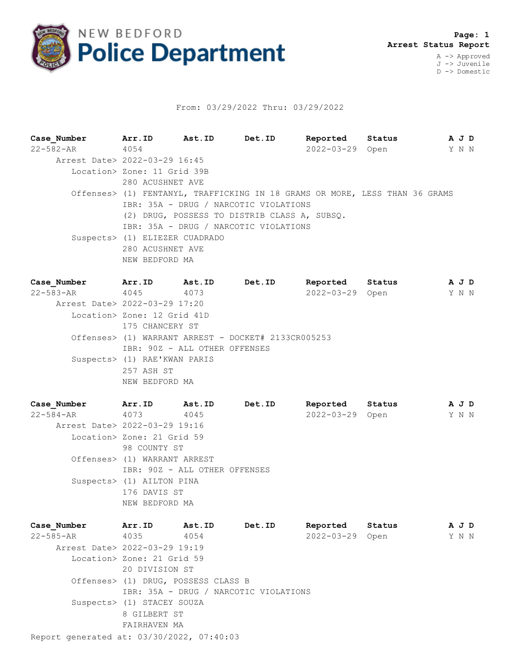

## From: 03/29/2022 Thru: 03/29/2022

**Case\_Number Arr.ID Ast.ID Det.ID Reported Status A J D** 22-582-AR 4054 2022-03-29 Open Y N N Arrest Date> 2022-03-29 16:45 Location> Zone: 11 Grid 39B 280 ACUSHNET AVE Offenses> (1) FENTANYL, TRAFFICKING IN 18 GRAMS OR MORE, LESS THAN 36 GRAMS IBR: 35A - DRUG / NARCOTIC VIOLATIONS (2) DRUG, POSSESS TO DISTRIB CLASS A, SUBSQ. IBR: 35A - DRUG / NARCOTIC VIOLATIONS Suspects> (1) ELIEZER CUADRADO 280 ACUSHNET AVE NEW BEDFORD MA

| Case Number                   | Arr.ID                        | <b>Ast.ID</b> | Det.ID                                              | Reported        | Status | A J D |  |
|-------------------------------|-------------------------------|---------------|-----------------------------------------------------|-----------------|--------|-------|--|
| $22 - 583 - AR$ 4045          |                               | 4073          |                                                     | 2022-03-29 Open |        | YNN   |  |
| Arrest Date> 2022-03-29 17:20 |                               |               |                                                     |                 |        |       |  |
|                               | Location> Zone: 12 Grid 41D   |               |                                                     |                 |        |       |  |
|                               | 175 CHANCERY ST               |               |                                                     |                 |        |       |  |
|                               |                               |               | Offenses> (1) WARRANT ARREST - DOCKET# 2133CR005253 |                 |        |       |  |
|                               | IBR: 90Z - ALL OTHER OFFENSES |               |                                                     |                 |        |       |  |
|                               | Suspects> (1) RAE'KWAN PARIS  |               |                                                     |                 |        |       |  |
|                               | 257 ASH ST                    |               |                                                     |                 |        |       |  |
|                               | NEW BEDFORD MA                |               |                                                     |                 |        |       |  |

**Case\_Number Arr.ID Ast.ID Det.ID Reported Status A J D** 22-584-AR 4073 4045 2022-03-29 Open Y N N Arrest Date> 2022-03-29 19:16 Location> Zone: 21 Grid 59 98 COUNTY ST Offenses> (1) WARRANT ARREST IBR: 90Z - ALL OTHER OFFENSES Suspects> (1) AILTON PINA 176 DAVIS ST NEW BEDFORD MA

| Case Number                               | Arr.ID                              | Ast.ID | Det.ID                                | Reported         | Status | A J D |
|-------------------------------------------|-------------------------------------|--------|---------------------------------------|------------------|--------|-------|
| 22-585-AR                                 | 4035                                | 4054   |                                       | $2022 - 03 - 29$ | Open   | Y N N |
| Arrest Date> 2022-03-29 19:19             |                                     |        |                                       |                  |        |       |
|                                           | Location> Zone: 21 Grid 59          |        |                                       |                  |        |       |
|                                           | 20 DIVISION ST                      |        |                                       |                  |        |       |
|                                           | Offenses> (1) DRUG, POSSESS CLASS B |        |                                       |                  |        |       |
|                                           |                                     |        | IBR: 35A - DRUG / NARCOTIC VIOLATIONS |                  |        |       |
|                                           | Suspects> (1) STACEY SOUZA          |        |                                       |                  |        |       |
|                                           | 8 GILBERT ST                        |        |                                       |                  |        |       |
|                                           | FAIRHAVEN MA                        |        |                                       |                  |        |       |
| Report generated at: 03/30/2022, 07:40:03 |                                     |        |                                       |                  |        |       |